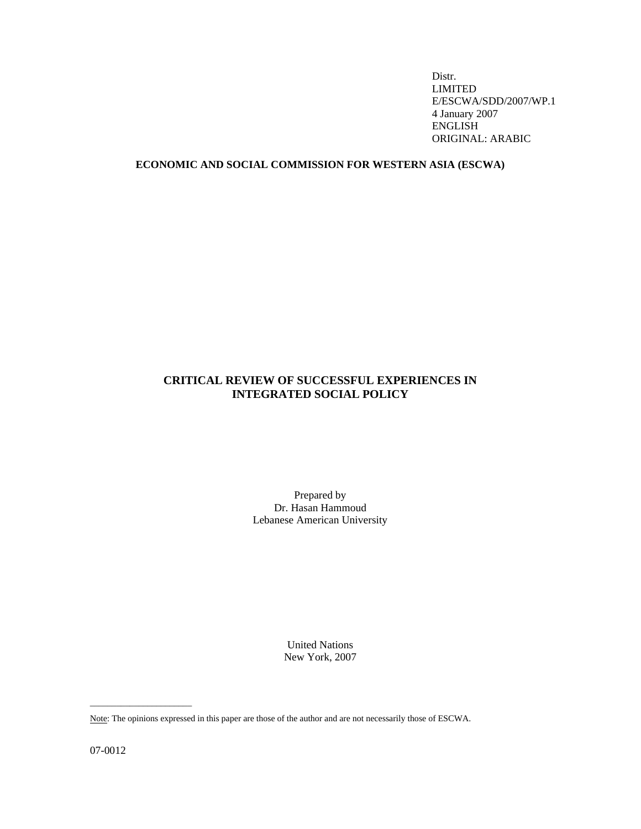Distr. LIMITED E/ESCWA/SDD/2007/WP.1 4 January 2007 ENGLISH ORIGINAL: ARABIC

# **ECONOMIC AND SOCIAL COMMISSION FOR WESTERN ASIA (ESCWA)**

# **CRITICAL REVIEW OF SUCCESSFUL EXPERIENCES IN INTEGRATED SOCIAL POLICY**

Prepared by Dr. Hasan Hammoud Lebanese American University

> United Nations New York, 2007

07-0012

 $\overline{\phantom{a}}$  , and the set of the set of the set of the set of the set of the set of the set of the set of the set of the set of the set of the set of the set of the set of the set of the set of the set of the set of the s

Note: The opinions expressed in this paper are those of the author and are not necessarily those of ESCWA.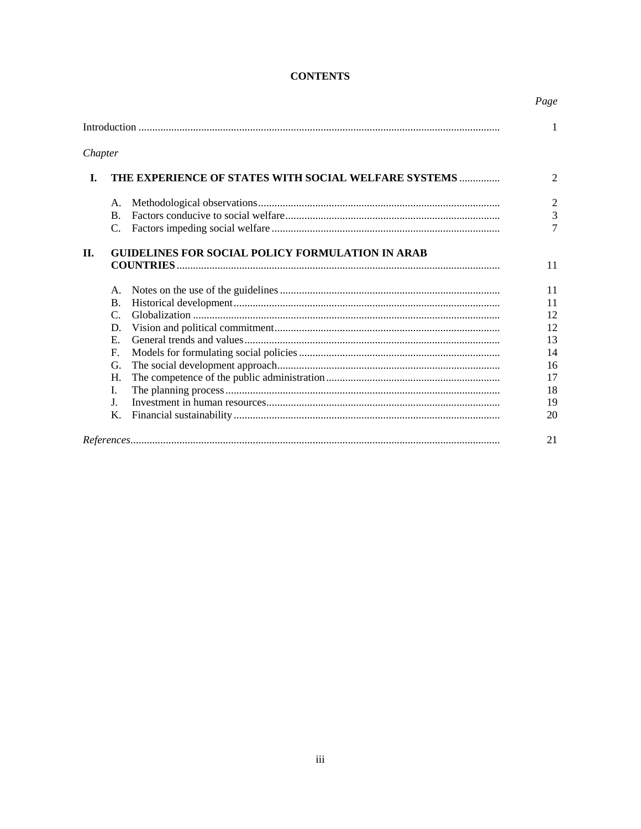# **CONTENTS**

Page

|         |                                                         |  | 1              |  |  |  |
|---------|---------------------------------------------------------|--|----------------|--|--|--|
| Chapter |                                                         |  |                |  |  |  |
| I.      | THE EXPERIENCE OF STATES WITH SOCIAL WELFARE SYSTEMS    |  |                |  |  |  |
|         | A.                                                      |  | $\overline{2}$ |  |  |  |
|         | $\mathbf{B}$                                            |  | $\overline{3}$ |  |  |  |
|         | $C_{\cdot}$                                             |  | $\overline{7}$ |  |  |  |
| П.      | <b>GUIDELINES FOR SOCIAL POLICY FORMULATION IN ARAB</b> |  |                |  |  |  |
|         | А.                                                      |  | 11             |  |  |  |
|         | <b>B.</b>                                               |  | 11             |  |  |  |
|         | $\mathsf{C}$ .                                          |  | 12             |  |  |  |
|         | D.                                                      |  | 12             |  |  |  |
|         | $E_{\rm c}$                                             |  | 13             |  |  |  |
|         | $F_{\cdot}$                                             |  | 14             |  |  |  |
|         | G.                                                      |  | 16             |  |  |  |
|         | H.                                                      |  | 17             |  |  |  |
|         | I.                                                      |  | 18             |  |  |  |
|         | $\mathbf{J}$ .                                          |  | 19             |  |  |  |
|         | Κ.                                                      |  | 20             |  |  |  |
|         |                                                         |  | 21             |  |  |  |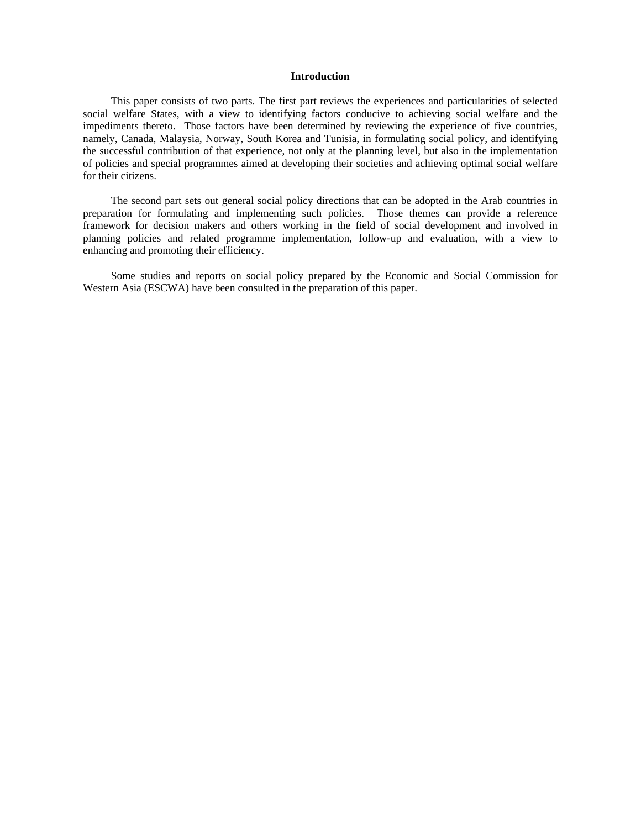# **Introduction**

 This paper consists of two parts. The first part reviews the experiences and particularities of selected social welfare States, with a view to identifying factors conducive to achieving social welfare and the impediments thereto. Those factors have been determined by reviewing the experience of five countries, namely, Canada, Malaysia, Norway, South Korea and Tunisia, in formulating social policy, and identifying the successful contribution of that experience, not only at the planning level, but also in the implementation of policies and special programmes aimed at developing their societies and achieving optimal social welfare for their citizens.

 The second part sets out general social policy directions that can be adopted in the Arab countries in preparation for formulating and implementing such policies. Those themes can provide a reference framework for decision makers and others working in the field of social development and involved in planning policies and related programme implementation, follow-up and evaluation, with a view to enhancing and promoting their efficiency.

 Some studies and reports on social policy prepared by the Economic and Social Commission for Western Asia (ESCWA) have been consulted in the preparation of this paper.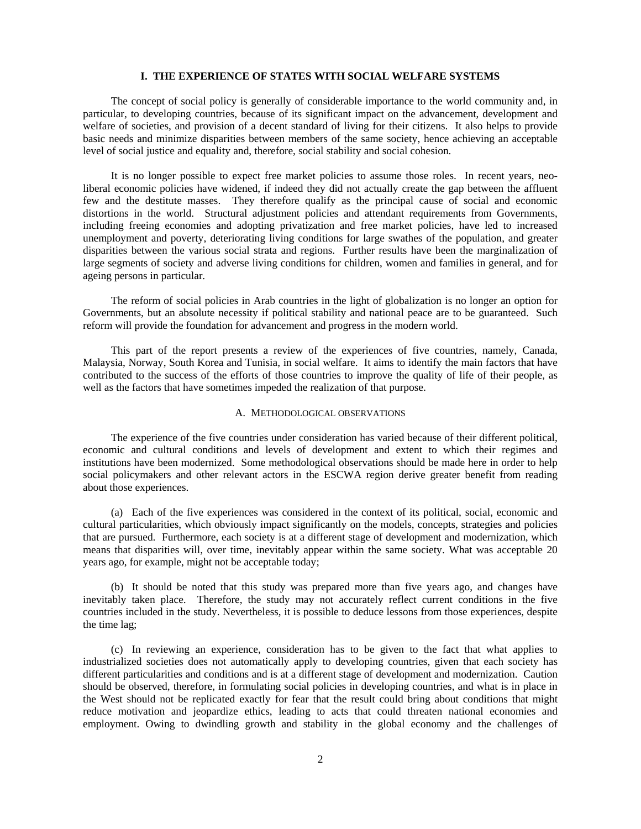### **I. THE EXPERIENCE OF STATES WITH SOCIAL WELFARE SYSTEMS**

 The concept of social policy is generally of considerable importance to the world community and, in particular, to developing countries, because of its significant impact on the advancement, development and welfare of societies, and provision of a decent standard of living for their citizens. It also helps to provide basic needs and minimize disparities between members of the same society, hence achieving an acceptable level of social justice and equality and, therefore, social stability and social cohesion.

 It is no longer possible to expect free market policies to assume those roles. In recent years, neoliberal economic policies have widened, if indeed they did not actually create the gap between the affluent few and the destitute masses. They therefore qualify as the principal cause of social and economic distortions in the world. Structural adjustment policies and attendant requirements from Governments, including freeing economies and adopting privatization and free market policies, have led to increased unemployment and poverty, deteriorating living conditions for large swathes of the population, and greater disparities between the various social strata and regions. Further results have been the marginalization of large segments of society and adverse living conditions for children, women and families in general, and for ageing persons in particular.

 The reform of social policies in Arab countries in the light of globalization is no longer an option for Governments, but an absolute necessity if political stability and national peace are to be guaranteed. Such reform will provide the foundation for advancement and progress in the modern world.

 This part of the report presents a review of the experiences of five countries, namely, Canada, Malaysia, Norway, South Korea and Tunisia, in social welfare. It aims to identify the main factors that have contributed to the success of the efforts of those countries to improve the quality of life of their people, as well as the factors that have sometimes impeded the realization of that purpose.

### A. METHODOLOGICAL OBSERVATIONS

 The experience of the five countries under consideration has varied because of their different political, economic and cultural conditions and levels of development and extent to which their regimes and institutions have been modernized. Some methodological observations should be made here in order to help social policymakers and other relevant actors in the ESCWA region derive greater benefit from reading about those experiences.

 (a) Each of the five experiences was considered in the context of its political, social, economic and cultural particularities, which obviously impact significantly on the models, concepts, strategies and policies that are pursued. Furthermore, each society is at a different stage of development and modernization, which means that disparities will, over time, inevitably appear within the same society. What was acceptable 20 years ago, for example, might not be acceptable today;

 (b) It should be noted that this study was prepared more than five years ago, and changes have inevitably taken place. Therefore, the study may not accurately reflect current conditions in the five countries included in the study. Nevertheless, it is possible to deduce lessons from those experiences, despite the time lag;

 (c) In reviewing an experience, consideration has to be given to the fact that what applies to industrialized societies does not automatically apply to developing countries, given that each society has different particularities and conditions and is at a different stage of development and modernization. Caution should be observed, therefore, in formulating social policies in developing countries, and what is in place in the West should not be replicated exactly for fear that the result could bring about conditions that might reduce motivation and jeopardize ethics, leading to acts that could threaten national economies and employment. Owing to dwindling growth and stability in the global economy and the challenges of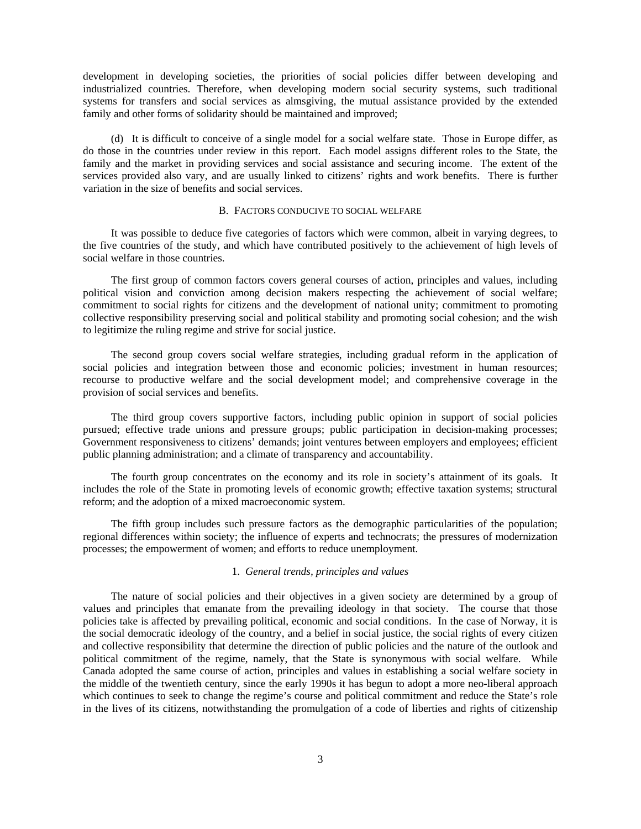development in developing societies, the priorities of social policies differ between developing and industrialized countries. Therefore, when developing modern social security systems, such traditional systems for transfers and social services as almsgiving, the mutual assistance provided by the extended family and other forms of solidarity should be maintained and improved;

 (d) It is difficult to conceive of a single model for a social welfare state. Those in Europe differ, as do those in the countries under review in this report. Each model assigns different roles to the State, the family and the market in providing services and social assistance and securing income. The extent of the services provided also vary, and are usually linked to citizens' rights and work benefits. There is further variation in the size of benefits and social services.

# B. FACTORS CONDUCIVE TO SOCIAL WELFARE

 It was possible to deduce five categories of factors which were common, albeit in varying degrees, to the five countries of the study, and which have contributed positively to the achievement of high levels of social welfare in those countries.

 The first group of common factors covers general courses of action, principles and values, including political vision and conviction among decision makers respecting the achievement of social welfare; commitment to social rights for citizens and the development of national unity; commitment to promoting collective responsibility preserving social and political stability and promoting social cohesion; and the wish to legitimize the ruling regime and strive for social justice.

 The second group covers social welfare strategies, including gradual reform in the application of social policies and integration between those and economic policies; investment in human resources; recourse to productive welfare and the social development model; and comprehensive coverage in the provision of social services and benefits.

 The third group covers supportive factors, including public opinion in support of social policies pursued; effective trade unions and pressure groups; public participation in decision-making processes; Government responsiveness to citizens' demands; joint ventures between employers and employees; efficient public planning administration; and a climate of transparency and accountability.

 The fourth group concentrates on the economy and its role in society's attainment of its goals. It includes the role of the State in promoting levels of economic growth; effective taxation systems; structural reform; and the adoption of a mixed macroeconomic system.

 The fifth group includes such pressure factors as the demographic particularities of the population; regional differences within society; the influence of experts and technocrats; the pressures of modernization processes; the empowerment of women; and efforts to reduce unemployment.

### 1. *General trends, principles and values*

 The nature of social policies and their objectives in a given society are determined by a group of values and principles that emanate from the prevailing ideology in that society. The course that those policies take is affected by prevailing political, economic and social conditions. In the case of Norway, it is the social democratic ideology of the country, and a belief in social justice, the social rights of every citizen and collective responsibility that determine the direction of public policies and the nature of the outlook and political commitment of the regime, namely, that the State is synonymous with social welfare. While Canada adopted the same course of action, principles and values in establishing a social welfare society in the middle of the twentieth century, since the early 1990s it has begun to adopt a more neo-liberal approach which continues to seek to change the regime's course and political commitment and reduce the State's role in the lives of its citizens, notwithstanding the promulgation of a code of liberties and rights of citizenship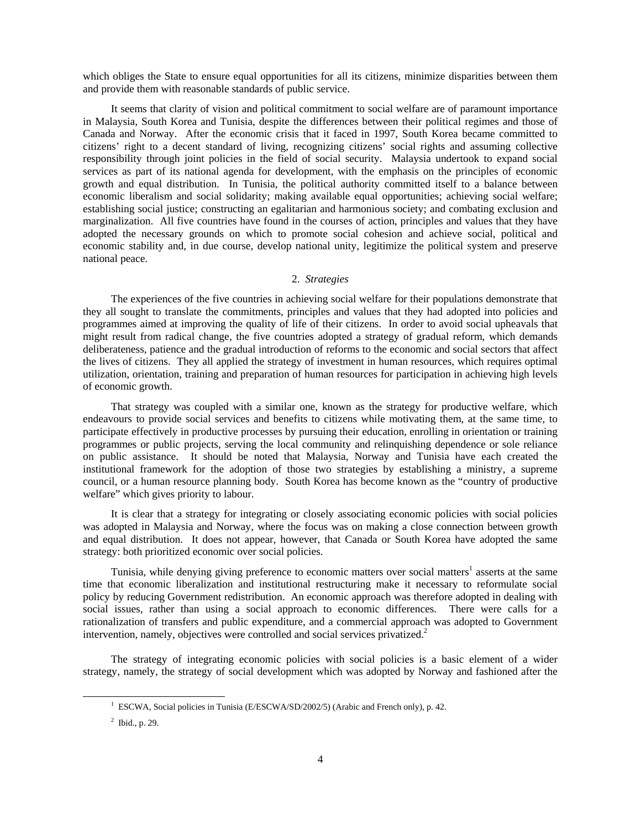which obliges the State to ensure equal opportunities for all its citizens, minimize disparities between them and provide them with reasonable standards of public service.

 It seems that clarity of vision and political commitment to social welfare are of paramount importance in Malaysia, South Korea and Tunisia, despite the differences between their political regimes and those of Canada and Norway. After the economic crisis that it faced in 1997, South Korea became committed to citizens' right to a decent standard of living, recognizing citizens' social rights and assuming collective responsibility through joint policies in the field of social security. Malaysia undertook to expand social services as part of its national agenda for development, with the emphasis on the principles of economic growth and equal distribution. In Tunisia, the political authority committed itself to a balance between economic liberalism and social solidarity; making available equal opportunities; achieving social welfare; establishing social justice; constructing an egalitarian and harmonious society; and combating exclusion and marginalization. All five countries have found in the courses of action, principles and values that they have adopted the necessary grounds on which to promote social cohesion and achieve social, political and economic stability and, in due course, develop national unity, legitimize the political system and preserve national peace.

### 2. *Strategies*

 The experiences of the five countries in achieving social welfare for their populations demonstrate that they all sought to translate the commitments, principles and values that they had adopted into policies and programmes aimed at improving the quality of life of their citizens. In order to avoid social upheavals that might result from radical change, the five countries adopted a strategy of gradual reform, which demands deliberateness, patience and the gradual introduction of reforms to the economic and social sectors that affect the lives of citizens. They all applied the strategy of investment in human resources, which requires optimal utilization, orientation, training and preparation of human resources for participation in achieving high levels of economic growth.

 That strategy was coupled with a similar one, known as the strategy for productive welfare, which endeavours to provide social services and benefits to citizens while motivating them, at the same time, to participate effectively in productive processes by pursuing their education, enrolling in orientation or training programmes or public projects, serving the local community and relinquishing dependence or sole reliance on public assistance. It should be noted that Malaysia, Norway and Tunisia have each created the institutional framework for the adoption of those two strategies by establishing a ministry, a supreme council, or a human resource planning body. South Korea has become known as the "country of productive welfare" which gives priority to labour.

 It is clear that a strategy for integrating or closely associating economic policies with social policies was adopted in Malaysia and Norway, where the focus was on making a close connection between growth and equal distribution. It does not appear, however, that Canada or South Korea have adopted the same strategy: both prioritized economic over social policies.

Tunisia, while denying giving preference to economic matters over social matters<sup>1</sup> asserts at the same time that economic liberalization and institutional restructuring make it necessary to reformulate social policy by reducing Government redistribution. An economic approach was therefore adopted in dealing with social issues, rather than using a social approach to economic differences. There were calls for a rationalization of transfers and public expenditure, and a commercial approach was adopted to Government intervention, namely, objectives were controlled and social services privatized.<sup>2</sup>

 The strategy of integrating economic policies with social policies is a basic element of a wider strategy, namely, the strategy of social development which was adopted by Norway and fashioned after the

 $\frac{1}{1}$ <sup>1</sup> ESCWA, Social policies in Tunisia (E/ESCWA/SD/2002/5) (Arabic and French only), p. 42.

 $2^2$  Ibid., p. 29.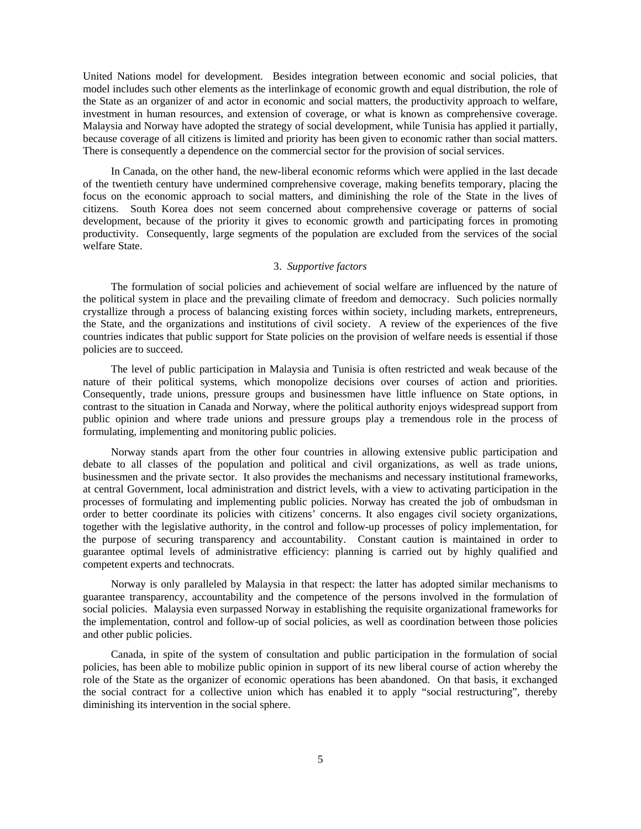United Nations model for development. Besides integration between economic and social policies, that model includes such other elements as the interlinkage of economic growth and equal distribution, the role of the State as an organizer of and actor in economic and social matters, the productivity approach to welfare, investment in human resources, and extension of coverage, or what is known as comprehensive coverage. Malaysia and Norway have adopted the strategy of social development, while Tunisia has applied it partially, because coverage of all citizens is limited and priority has been given to economic rather than social matters. There is consequently a dependence on the commercial sector for the provision of social services.

 In Canada, on the other hand, the new-liberal economic reforms which were applied in the last decade of the twentieth century have undermined comprehensive coverage, making benefits temporary, placing the focus on the economic approach to social matters, and diminishing the role of the State in the lives of citizens. South Korea does not seem concerned about comprehensive coverage or patterns of social development, because of the priority it gives to economic growth and participating forces in promoting productivity. Consequently, large segments of the population are excluded from the services of the social welfare State.

# 3. *Supportive factors*

 The formulation of social policies and achievement of social welfare are influenced by the nature of the political system in place and the prevailing climate of freedom and democracy. Such policies normally crystallize through a process of balancing existing forces within society, including markets, entrepreneurs, the State, and the organizations and institutions of civil society. A review of the experiences of the five countries indicates that public support for State policies on the provision of welfare needs is essential if those policies are to succeed.

 The level of public participation in Malaysia and Tunisia is often restricted and weak because of the nature of their political systems, which monopolize decisions over courses of action and priorities. Consequently, trade unions, pressure groups and businessmen have little influence on State options, in contrast to the situation in Canada and Norway, where the political authority enjoys widespread support from public opinion and where trade unions and pressure groups play a tremendous role in the process of formulating, implementing and monitoring public policies.

 Norway stands apart from the other four countries in allowing extensive public participation and debate to all classes of the population and political and civil organizations, as well as trade unions, businessmen and the private sector. It also provides the mechanisms and necessary institutional frameworks, at central Government, local administration and district levels, with a view to activating participation in the processes of formulating and implementing public policies. Norway has created the job of ombudsman in order to better coordinate its policies with citizens' concerns. It also engages civil society organizations, together with the legislative authority, in the control and follow-up processes of policy implementation, for the purpose of securing transparency and accountability. Constant caution is maintained in order to guarantee optimal levels of administrative efficiency: planning is carried out by highly qualified and competent experts and technocrats.

 Norway is only paralleled by Malaysia in that respect: the latter has adopted similar mechanisms to guarantee transparency, accountability and the competence of the persons involved in the formulation of social policies. Malaysia even surpassed Norway in establishing the requisite organizational frameworks for the implementation, control and follow-up of social policies, as well as coordination between those policies and other public policies.

 Canada, in spite of the system of consultation and public participation in the formulation of social policies, has been able to mobilize public opinion in support of its new liberal course of action whereby the role of the State as the organizer of economic operations has been abandoned. On that basis, it exchanged the social contract for a collective union which has enabled it to apply "social restructuring", thereby diminishing its intervention in the social sphere.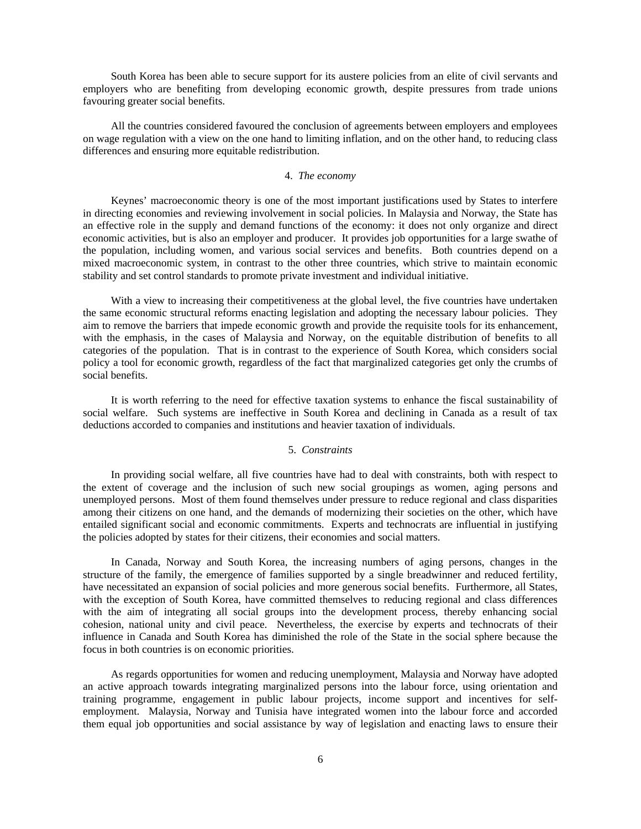South Korea has been able to secure support for its austere policies from an elite of civil servants and employers who are benefiting from developing economic growth, despite pressures from trade unions favouring greater social benefits.

 All the countries considered favoured the conclusion of agreements between employers and employees on wage regulation with a view on the one hand to limiting inflation, and on the other hand, to reducing class differences and ensuring more equitable redistribution.

### 4. *The economy*

 Keynes' macroeconomic theory is one of the most important justifications used by States to interfere in directing economies and reviewing involvement in social policies. In Malaysia and Norway, the State has an effective role in the supply and demand functions of the economy: it does not only organize and direct economic activities, but is also an employer and producer. It provides job opportunities for a large swathe of the population, including women, and various social services and benefits. Both countries depend on a mixed macroeconomic system, in contrast to the other three countries, which strive to maintain economic stability and set control standards to promote private investment and individual initiative.

With a view to increasing their competitiveness at the global level, the five countries have undertaken the same economic structural reforms enacting legislation and adopting the necessary labour policies. They aim to remove the barriers that impede economic growth and provide the requisite tools for its enhancement, with the emphasis, in the cases of Malaysia and Norway, on the equitable distribution of benefits to all categories of the population. That is in contrast to the experience of South Korea, which considers social policy a tool for economic growth, regardless of the fact that marginalized categories get only the crumbs of social benefits.

 It is worth referring to the need for effective taxation systems to enhance the fiscal sustainability of social welfare. Such systems are ineffective in South Korea and declining in Canada as a result of tax deductions accorded to companies and institutions and heavier taxation of individuals.

### 5. *Constraints*

 In providing social welfare, all five countries have had to deal with constraints, both with respect to the extent of coverage and the inclusion of such new social groupings as women, aging persons and unemployed persons. Most of them found themselves under pressure to reduce regional and class disparities among their citizens on one hand, and the demands of modernizing their societies on the other, which have entailed significant social and economic commitments. Experts and technocrats are influential in justifying the policies adopted by states for their citizens, their economies and social matters.

 In Canada, Norway and South Korea, the increasing numbers of aging persons, changes in the structure of the family, the emergence of families supported by a single breadwinner and reduced fertility, have necessitated an expansion of social policies and more generous social benefits. Furthermore, all States, with the exception of South Korea, have committed themselves to reducing regional and class differences with the aim of integrating all social groups into the development process, thereby enhancing social cohesion, national unity and civil peace. Nevertheless, the exercise by experts and technocrats of their influence in Canada and South Korea has diminished the role of the State in the social sphere because the focus in both countries is on economic priorities.

 As regards opportunities for women and reducing unemployment, Malaysia and Norway have adopted an active approach towards integrating marginalized persons into the labour force, using orientation and training programme, engagement in public labour projects, income support and incentives for selfemployment. Malaysia, Norway and Tunisia have integrated women into the labour force and accorded them equal job opportunities and social assistance by way of legislation and enacting laws to ensure their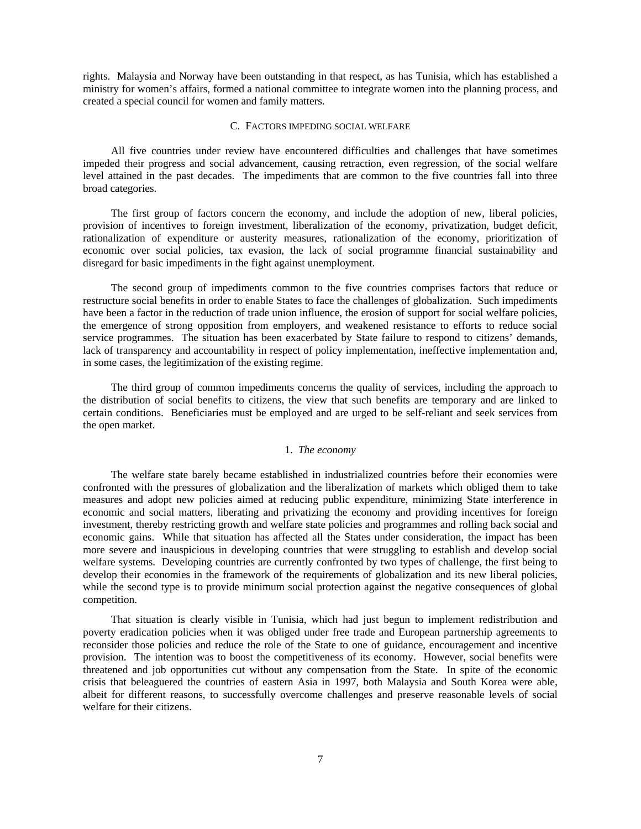rights. Malaysia and Norway have been outstanding in that respect, as has Tunisia, which has established a ministry for women's affairs, formed a national committee to integrate women into the planning process, and created a special council for women and family matters.

### C. FACTORS IMPEDING SOCIAL WELFARE

 All five countries under review have encountered difficulties and challenges that have sometimes impeded their progress and social advancement, causing retraction, even regression, of the social welfare level attained in the past decades. The impediments that are common to the five countries fall into three broad categories.

 The first group of factors concern the economy, and include the adoption of new, liberal policies, provision of incentives to foreign investment, liberalization of the economy, privatization, budget deficit, rationalization of expenditure or austerity measures, rationalization of the economy, prioritization of economic over social policies, tax evasion, the lack of social programme financial sustainability and disregard for basic impediments in the fight against unemployment.

 The second group of impediments common to the five countries comprises factors that reduce or restructure social benefits in order to enable States to face the challenges of globalization. Such impediments have been a factor in the reduction of trade union influence, the erosion of support for social welfare policies, the emergence of strong opposition from employers, and weakened resistance to efforts to reduce social service programmes. The situation has been exacerbated by State failure to respond to citizens' demands, lack of transparency and accountability in respect of policy implementation, ineffective implementation and, in some cases, the legitimization of the existing regime.

 The third group of common impediments concerns the quality of services, including the approach to the distribution of social benefits to citizens, the view that such benefits are temporary and are linked to certain conditions. Beneficiaries must be employed and are urged to be self-reliant and seek services from the open market.

# 1. *The economy*

 The welfare state barely became established in industrialized countries before their economies were confronted with the pressures of globalization and the liberalization of markets which obliged them to take measures and adopt new policies aimed at reducing public expenditure, minimizing State interference in economic and social matters, liberating and privatizing the economy and providing incentives for foreign investment, thereby restricting growth and welfare state policies and programmes and rolling back social and economic gains. While that situation has affected all the States under consideration, the impact has been more severe and inauspicious in developing countries that were struggling to establish and develop social welfare systems. Developing countries are currently confronted by two types of challenge, the first being to develop their economies in the framework of the requirements of globalization and its new liberal policies, while the second type is to provide minimum social protection against the negative consequences of global competition.

 That situation is clearly visible in Tunisia, which had just begun to implement redistribution and poverty eradication policies when it was obliged under free trade and European partnership agreements to reconsider those policies and reduce the role of the State to one of guidance, encouragement and incentive provision. The intention was to boost the competitiveness of its economy. However, social benefits were threatened and job opportunities cut without any compensation from the State. In spite of the economic crisis that beleaguered the countries of eastern Asia in 1997, both Malaysia and South Korea were able, albeit for different reasons, to successfully overcome challenges and preserve reasonable levels of social welfare for their citizens.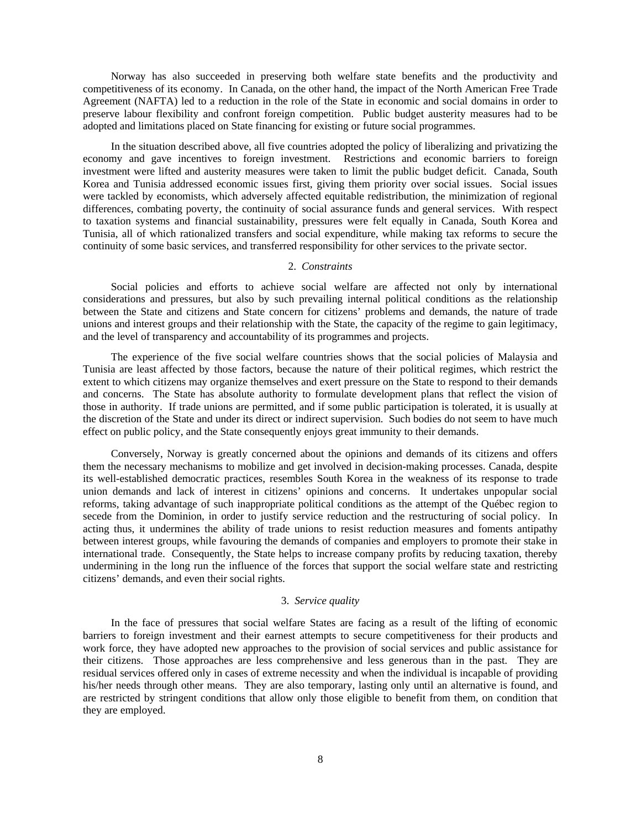Norway has also succeeded in preserving both welfare state benefits and the productivity and competitiveness of its economy. In Canada, on the other hand, the impact of the North American Free Trade Agreement (NAFTA) led to a reduction in the role of the State in economic and social domains in order to preserve labour flexibility and confront foreign competition. Public budget austerity measures had to be adopted and limitations placed on State financing for existing or future social programmes.

 In the situation described above, all five countries adopted the policy of liberalizing and privatizing the economy and gave incentives to foreign investment. Restrictions and economic barriers to foreign investment were lifted and austerity measures were taken to limit the public budget deficit. Canada, South Korea and Tunisia addressed economic issues first, giving them priority over social issues. Social issues were tackled by economists, which adversely affected equitable redistribution, the minimization of regional differences, combating poverty, the continuity of social assurance funds and general services. With respect to taxation systems and financial sustainability, pressures were felt equally in Canada, South Korea and Tunisia, all of which rationalized transfers and social expenditure, while making tax reforms to secure the continuity of some basic services, and transferred responsibility for other services to the private sector.

# 2. *Constraints*

 Social policies and efforts to achieve social welfare are affected not only by international considerations and pressures, but also by such prevailing internal political conditions as the relationship between the State and citizens and State concern for citizens' problems and demands, the nature of trade unions and interest groups and their relationship with the State, the capacity of the regime to gain legitimacy, and the level of transparency and accountability of its programmes and projects.

 The experience of the five social welfare countries shows that the social policies of Malaysia and Tunisia are least affected by those factors, because the nature of their political regimes, which restrict the extent to which citizens may organize themselves and exert pressure on the State to respond to their demands and concerns. The State has absolute authority to formulate development plans that reflect the vision of those in authority. If trade unions are permitted, and if some public participation is tolerated, it is usually at the discretion of the State and under its direct or indirect supervision. Such bodies do not seem to have much effect on public policy, and the State consequently enjoys great immunity to their demands.

 Conversely, Norway is greatly concerned about the opinions and demands of its citizens and offers them the necessary mechanisms to mobilize and get involved in decision-making processes. Canada, despite its well-established democratic practices, resembles South Korea in the weakness of its response to trade union demands and lack of interest in citizens' opinions and concerns. It undertakes unpopular social reforms, taking advantage of such inappropriate political conditions as the attempt of the Québec region to secede from the Dominion, in order to justify service reduction and the restructuring of social policy. In acting thus, it undermines the ability of trade unions to resist reduction measures and foments antipathy between interest groups, while favouring the demands of companies and employers to promote their stake in international trade. Consequently, the State helps to increase company profits by reducing taxation, thereby undermining in the long run the influence of the forces that support the social welfare state and restricting citizens' demands, and even their social rights.

#### 3. *Service quality*

 In the face of pressures that social welfare States are facing as a result of the lifting of economic barriers to foreign investment and their earnest attempts to secure competitiveness for their products and work force, they have adopted new approaches to the provision of social services and public assistance for their citizens. Those approaches are less comprehensive and less generous than in the past. They are residual services offered only in cases of extreme necessity and when the individual is incapable of providing his/her needs through other means. They are also temporary, lasting only until an alternative is found, and are restricted by stringent conditions that allow only those eligible to benefit from them, on condition that they are employed.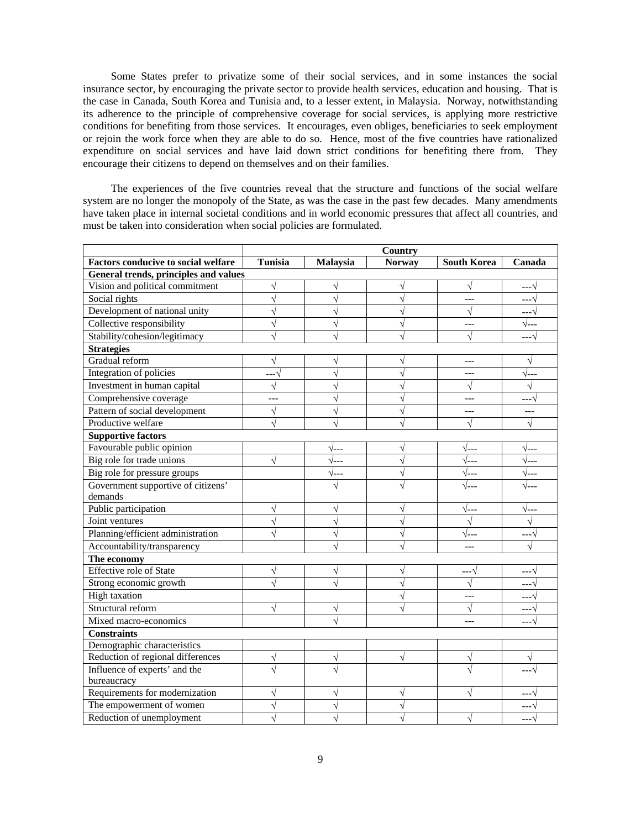Some States prefer to privatize some of their social services, and in some instances the social insurance sector, by encouraging the private sector to provide health services, education and housing. That is the case in Canada, South Korea and Tunisia and, to a lesser extent, in Malaysia. Norway, notwithstanding its adherence to the principle of comprehensive coverage for social services, is applying more restrictive conditions for benefiting from those services. It encourages, even obliges, beneficiaries to seek employment or rejoin the work force when they are able to do so. Hence, most of the five countries have rationalized expenditure on social services and have laid down strict conditions for benefiting there from. They encourage their citizens to depend on themselves and on their families.

 The experiences of the five countries reveal that the structure and functions of the social welfare system are no longer the monopoly of the State, as was the case in the past few decades. Many amendments have taken place in internal societal conditions and in world economic pressures that affect all countries, and must be taken into consideration when social policies are formulated.

|                                            |                | Country         |                       |                    |              |  |  |  |  |
|--------------------------------------------|----------------|-----------------|-----------------------|--------------------|--------------|--|--|--|--|
| <b>Factors conducive to social welfare</b> | <b>Tunisia</b> | <b>Malaysia</b> | <b>Norway</b>         | <b>South Korea</b> | Canada       |  |  |  |  |
| General trends, principles and values      |                |                 |                       |                    |              |  |  |  |  |
| Vision and political commitment            | V              | V               | V                     | $\sqrt{}$          | --- 1        |  |  |  |  |
| Social rights                              | N              | V               | $\sqrt{ }$            | $---$              | ---′         |  |  |  |  |
| Development of national unity              | V              | V               | $\sqrt{ }$            | V                  | --- 1        |  |  |  |  |
| Collective responsibility                  | V              | V               | V                     | $---$              | √---         |  |  |  |  |
| Stability/cohesion/legitimacy              |                |                 | N                     |                    | $---1$       |  |  |  |  |
| <b>Strategies</b>                          |                |                 |                       |                    |              |  |  |  |  |
| Gradual reform                             | V              | V               | $\sqrt{ }$            | $---$              | V            |  |  |  |  |
| Integration of policies                    | --- V          | $\sqrt{ }$      | $\sqrt{}$             | ---                | $\sqrt{---}$ |  |  |  |  |
| Investment in human capital                | $\sqrt{}$      | $\sqrt{ }$      | $\overline{\sqrt{ }}$ | $\sqrt{ }$         | $\sqrt{}$    |  |  |  |  |
| Comprehensive coverage                     | $- - -$        | $\sqrt{}$       | $\sqrt{}$             | $---$              | --- V        |  |  |  |  |
| Pattern of social development              | $\sqrt{}$      | $\sqrt{}$       | $\sqrt{ }$            | $---$              | ---          |  |  |  |  |
| Productive welfare                         | $\sqrt{}$      | N               | $\sqrt{ }$            | V                  | V            |  |  |  |  |
| <b>Supportive factors</b>                  |                |                 |                       |                    |              |  |  |  |  |
| Favourable public opinion                  |                | √---            | V                     | √---               | √---         |  |  |  |  |
| Big role for trade unions                  | $\sqrt{}$      | $\sqrt{---}$    | $\sqrt{ }$            | $\sqrt{---}$       | √---         |  |  |  |  |
| Big role for pressure groups               |                | √---            | $\sqrt{}$             | √---               | √---         |  |  |  |  |
| Government supportive of citizens'         |                |                 | $\overline{\sqrt{2}}$ | √---               | √---         |  |  |  |  |
| demands                                    |                |                 |                       |                    |              |  |  |  |  |
| Public participation                       |                |                 | V                     | $\sqrt{---}$       | √---         |  |  |  |  |
| Joint ventures                             |                |                 | V                     |                    |              |  |  |  |  |
| Planning/efficient administration          |                |                 | V                     | √---               | --- V        |  |  |  |  |
| Accountability/transparency                |                |                 |                       |                    |              |  |  |  |  |
| The economy                                |                |                 |                       |                    |              |  |  |  |  |
| <b>Effective role of State</b>             | V              | V               | $\sqrt{}$             | ---V               | ---V         |  |  |  |  |
| Strong economic growth                     |                |                 | $\sqrt{2}$            | $\sqrt{}$          | --- V        |  |  |  |  |
| <b>High taxation</b>                       |                |                 | $\sqrt{ }$            | $---$              | ---V         |  |  |  |  |
| Structural reform                          | V              | V               | $\sqrt{}$             | $\sqrt{}$          | ---V         |  |  |  |  |
| Mixed macro-economics                      |                |                 |                       |                    |              |  |  |  |  |
| <b>Constraints</b>                         |                |                 |                       |                    |              |  |  |  |  |
| Demographic characteristics                |                |                 |                       |                    |              |  |  |  |  |
| Reduction of regional differences          | V              | V               | $\sqrt{ }$            |                    |              |  |  |  |  |
| Influence of experts' and the              |                |                 |                       |                    |              |  |  |  |  |
| bureaucracy                                |                |                 |                       |                    |              |  |  |  |  |
| Requirements for modernization             | V              | $\sqrt{}$       | $\sqrt{}$             |                    | --- 1        |  |  |  |  |
| The empowerment of women                   | $\sqrt{}$      | $\sqrt{ }$      | $\sqrt{ }$            |                    |              |  |  |  |  |
| Reduction of unemployment                  |                |                 |                       |                    | ---√         |  |  |  |  |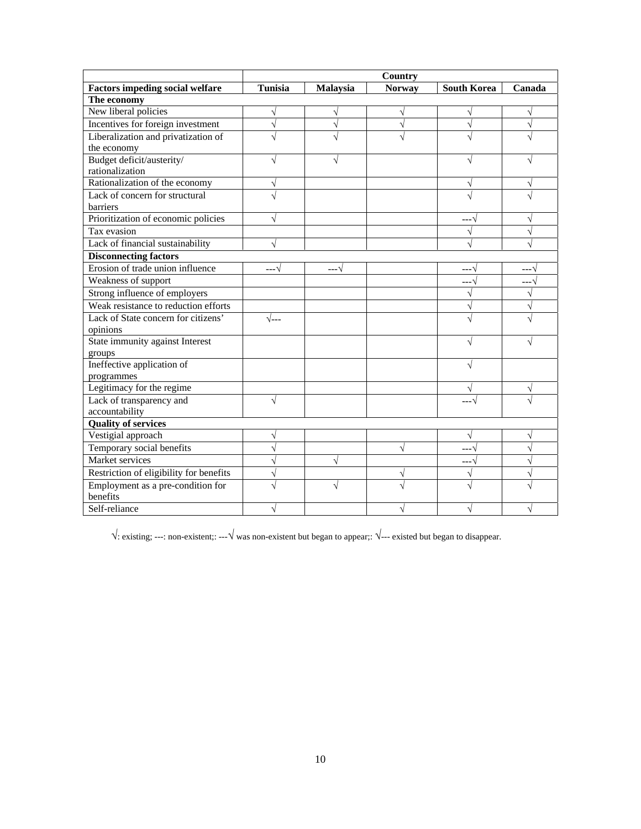|                                         | <b>Country</b> |                 |               |                    |           |  |  |  |
|-----------------------------------------|----------------|-----------------|---------------|--------------------|-----------|--|--|--|
| <b>Factors impeding social welfare</b>  | <b>Tunisia</b> | <b>Malaysia</b> | <b>Norway</b> | <b>South Korea</b> | Canada    |  |  |  |
| The economy                             |                |                 |               |                    |           |  |  |  |
| New liberal policies                    |                |                 | V             |                    | V         |  |  |  |
| Incentives for foreign investment       | V              | V               | V             |                    | V         |  |  |  |
| Liberalization and privatization of     |                |                 |               |                    |           |  |  |  |
| the economy                             |                |                 |               |                    |           |  |  |  |
| Budget deficit/austerity/               | V              |                 |               |                    |           |  |  |  |
| rationalization                         |                |                 |               |                    |           |  |  |  |
| Rationalization of the economy          | V              |                 |               |                    | V         |  |  |  |
| Lack of concern for structural          |                |                 |               |                    |           |  |  |  |
| <b>barriers</b>                         |                |                 |               |                    |           |  |  |  |
| Prioritization of economic policies     | $\sqrt{}$      |                 |               | --- V              | $\sqrt{}$ |  |  |  |
| Tax evasion                             |                |                 |               |                    | V         |  |  |  |
| Lack of financial sustainability        |                |                 |               |                    |           |  |  |  |
| <b>Disconnecting factors</b>            |                |                 |               |                    |           |  |  |  |
| Erosion of trade union influence        | $---1$         | --- V           |               | ---^               | ---^      |  |  |  |
| Weakness of support                     |                |                 |               | --- 1              | --- 1     |  |  |  |
| Strong influence of employers           |                |                 |               | $\sqrt{ }$         | $\sqrt{}$ |  |  |  |
| Weak resistance to reduction efforts    |                |                 |               |                    | $\sqrt{}$ |  |  |  |
| Lack of State concern for citizens'     | $\sqrt{1}$     |                 |               |                    |           |  |  |  |
| opinions                                |                |                 |               |                    |           |  |  |  |
| State immunity against Interest         |                |                 |               |                    |           |  |  |  |
| groups                                  |                |                 |               |                    |           |  |  |  |
| Ineffective application of              |                |                 |               |                    |           |  |  |  |
| programmes                              |                |                 |               |                    |           |  |  |  |
| Legitimacy for the regime               |                |                 |               |                    |           |  |  |  |
| Lack of transparency and                |                |                 |               |                    |           |  |  |  |
| accountability                          |                |                 |               |                    |           |  |  |  |
| <b>Quality of services</b>              |                |                 |               |                    |           |  |  |  |
| Vestigial approach                      | V              |                 |               | V                  | V         |  |  |  |
| Temporary social benefits               |                |                 | $\sqrt{}$     | $---1$             | $\sqrt{}$ |  |  |  |
| Market services                         |                | V               |               | ---V               | $\sqrt{}$ |  |  |  |
| Restriction of eligibility for benefits | V              |                 | V             | V                  | $\sqrt{}$ |  |  |  |
| Employment as a pre-condition for       |                | V               | N             |                    |           |  |  |  |
| benefits                                |                |                 |               |                    |           |  |  |  |
| Self-reliance                           | V              |                 | V             |                    |           |  |  |  |

 $\sqrt{\cdot}$ : existing; ---: non-existent;: --- $\sqrt{\cdot}$  was non-existent but began to appear;:  $\sqrt{\cdot}$ --- existed but began to disappear.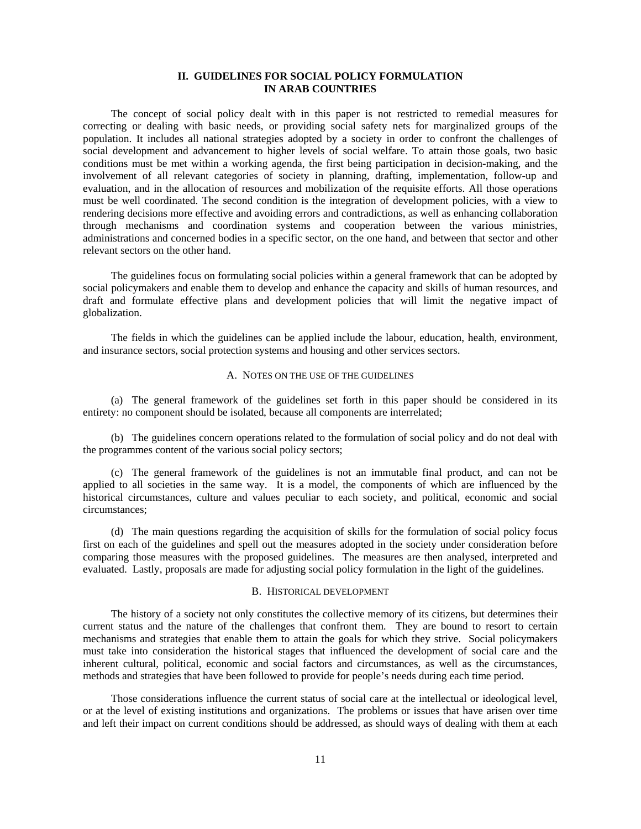# **II. GUIDELINES FOR SOCIAL POLICY FORMULATION IN ARAB COUNTRIES**

 The concept of social policy dealt with in this paper is not restricted to remedial measures for correcting or dealing with basic needs, or providing social safety nets for marginalized groups of the population. It includes all national strategies adopted by a society in order to confront the challenges of social development and advancement to higher levels of social welfare. To attain those goals, two basic conditions must be met within a working agenda, the first being participation in decision-making, and the involvement of all relevant categories of society in planning, drafting, implementation, follow-up and evaluation, and in the allocation of resources and mobilization of the requisite efforts. All those operations must be well coordinated. The second condition is the integration of development policies, with a view to rendering decisions more effective and avoiding errors and contradictions, as well as enhancing collaboration through mechanisms and coordination systems and cooperation between the various ministries, administrations and concerned bodies in a specific sector, on the one hand, and between that sector and other relevant sectors on the other hand.

 The guidelines focus on formulating social policies within a general framework that can be adopted by social policymakers and enable them to develop and enhance the capacity and skills of human resources, and draft and formulate effective plans and development policies that will limit the negative impact of globalization.

 The fields in which the guidelines can be applied include the labour, education, health, environment, and insurance sectors, social protection systems and housing and other services sectors.

#### A. NOTES ON THE USE OF THE GUIDELINES

 (a) The general framework of the guidelines set forth in this paper should be considered in its entirety: no component should be isolated, because all components are interrelated;

 (b) The guidelines concern operations related to the formulation of social policy and do not deal with the programmes content of the various social policy sectors;

 (c) The general framework of the guidelines is not an immutable final product, and can not be applied to all societies in the same way. It is a model, the components of which are influenced by the historical circumstances, culture and values peculiar to each society, and political, economic and social circumstances;

 (d) The main questions regarding the acquisition of skills for the formulation of social policy focus first on each of the guidelines and spell out the measures adopted in the society under consideration before comparing those measures with the proposed guidelines. The measures are then analysed, interpreted and evaluated. Lastly, proposals are made for adjusting social policy formulation in the light of the guidelines.

#### B. HISTORICAL DEVELOPMENT

 The history of a society not only constitutes the collective memory of its citizens, but determines their current status and the nature of the challenges that confront them. They are bound to resort to certain mechanisms and strategies that enable them to attain the goals for which they strive. Social policymakers must take into consideration the historical stages that influenced the development of social care and the inherent cultural, political, economic and social factors and circumstances, as well as the circumstances, methods and strategies that have been followed to provide for people's needs during each time period.

 Those considerations influence the current status of social care at the intellectual or ideological level, or at the level of existing institutions and organizations. The problems or issues that have arisen over time and left their impact on current conditions should be addressed, as should ways of dealing with them at each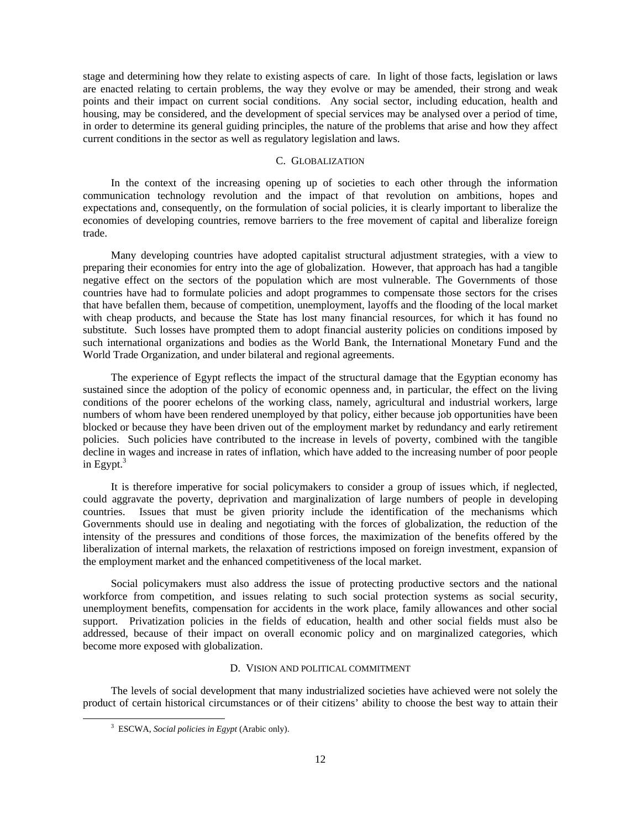stage and determining how they relate to existing aspects of care. In light of those facts, legislation or laws are enacted relating to certain problems, the way they evolve or may be amended, their strong and weak points and their impact on current social conditions. Any social sector, including education, health and housing, may be considered, and the development of special services may be analysed over a period of time, in order to determine its general guiding principles, the nature of the problems that arise and how they affect current conditions in the sector as well as regulatory legislation and laws.

# C. GLOBALIZATION

 In the context of the increasing opening up of societies to each other through the information communication technology revolution and the impact of that revolution on ambitions, hopes and expectations and, consequently, on the formulation of social policies, it is clearly important to liberalize the economies of developing countries, remove barriers to the free movement of capital and liberalize foreign trade.

 Many developing countries have adopted capitalist structural adjustment strategies, with a view to preparing their economies for entry into the age of globalization. However, that approach has had a tangible negative effect on the sectors of the population which are most vulnerable. The Governments of those countries have had to formulate policies and adopt programmes to compensate those sectors for the crises that have befallen them, because of competition, unemployment, layoffs and the flooding of the local market with cheap products, and because the State has lost many financial resources, for which it has found no substitute. Such losses have prompted them to adopt financial austerity policies on conditions imposed by such international organizations and bodies as the World Bank, the International Monetary Fund and the World Trade Organization, and under bilateral and regional agreements.

 The experience of Egypt reflects the impact of the structural damage that the Egyptian economy has sustained since the adoption of the policy of economic openness and, in particular, the effect on the living conditions of the poorer echelons of the working class, namely, agricultural and industrial workers, large numbers of whom have been rendered unemployed by that policy, either because job opportunities have been blocked or because they have been driven out of the employment market by redundancy and early retirement policies. Such policies have contributed to the increase in levels of poverty, combined with the tangible decline in wages and increase in rates of inflation, which have added to the increasing number of poor people in Egypt. $3$ 

 It is therefore imperative for social policymakers to consider a group of issues which, if neglected, could aggravate the poverty, deprivation and marginalization of large numbers of people in developing countries. Issues that must be given priority include the identification of the mechanisms which Governments should use in dealing and negotiating with the forces of globalization, the reduction of the intensity of the pressures and conditions of those forces, the maximization of the benefits offered by the liberalization of internal markets, the relaxation of restrictions imposed on foreign investment, expansion of the employment market and the enhanced competitiveness of the local market.

 Social policymakers must also address the issue of protecting productive sectors and the national workforce from competition, and issues relating to such social protection systems as social security, unemployment benefits, compensation for accidents in the work place, family allowances and other social support. Privatization policies in the fields of education, health and other social fields must also be addressed, because of their impact on overall economic policy and on marginalized categories, which become more exposed with globalization.

### D. VISION AND POLITICAL COMMITMENT

 The levels of social development that many industrialized societies have achieved were not solely the product of certain historical circumstances or of their citizens' ability to choose the best way to attain their

 $\frac{1}{3}$ ESCWA, *Social policies in Egypt* (Arabic only).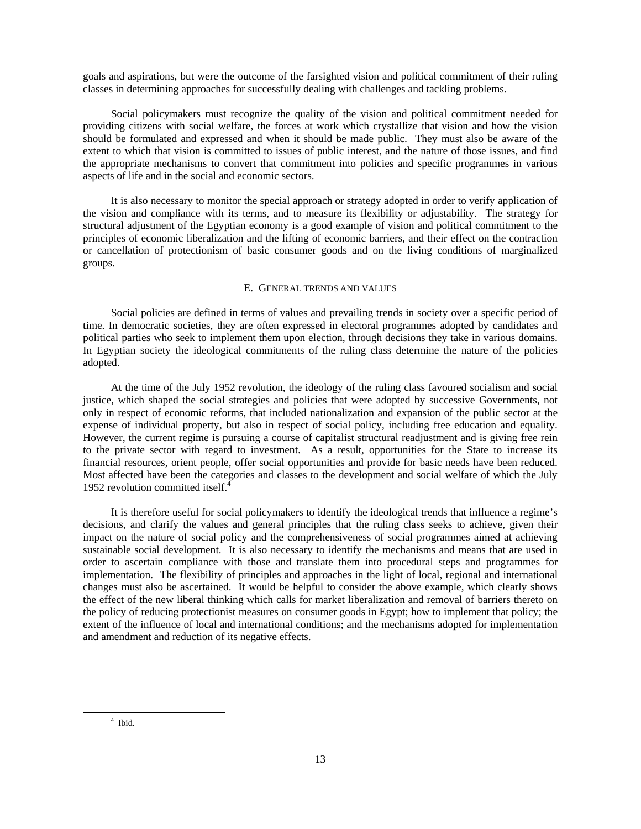goals and aspirations, but were the outcome of the farsighted vision and political commitment of their ruling classes in determining approaches for successfully dealing with challenges and tackling problems.

 Social policymakers must recognize the quality of the vision and political commitment needed for providing citizens with social welfare, the forces at work which crystallize that vision and how the vision should be formulated and expressed and when it should be made public. They must also be aware of the extent to which that vision is committed to issues of public interest, and the nature of those issues, and find the appropriate mechanisms to convert that commitment into policies and specific programmes in various aspects of life and in the social and economic sectors.

 It is also necessary to monitor the special approach or strategy adopted in order to verify application of the vision and compliance with its terms, and to measure its flexibility or adjustability. The strategy for structural adjustment of the Egyptian economy is a good example of vision and political commitment to the principles of economic liberalization and the lifting of economic barriers, and their effect on the contraction or cancellation of protectionism of basic consumer goods and on the living conditions of marginalized groups.

# E. GENERAL TRENDS AND VALUES

 Social policies are defined in terms of values and prevailing trends in society over a specific period of time. In democratic societies, they are often expressed in electoral programmes adopted by candidates and political parties who seek to implement them upon election, through decisions they take in various domains. In Egyptian society the ideological commitments of the ruling class determine the nature of the policies adopted.

 At the time of the July 1952 revolution, the ideology of the ruling class favoured socialism and social justice, which shaped the social strategies and policies that were adopted by successive Governments, not only in respect of economic reforms, that included nationalization and expansion of the public sector at the expense of individual property, but also in respect of social policy, including free education and equality. However, the current regime is pursuing a course of capitalist structural readjustment and is giving free rein to the private sector with regard to investment. As a result, opportunities for the State to increase its financial resources, orient people, offer social opportunities and provide for basic needs have been reduced. Most affected have been the categories and classes to the development and social welfare of which the July 1952 revolution committed itself.<sup>4</sup>

 It is therefore useful for social policymakers to identify the ideological trends that influence a regime's decisions, and clarify the values and general principles that the ruling class seeks to achieve, given their impact on the nature of social policy and the comprehensiveness of social programmes aimed at achieving sustainable social development. It is also necessary to identify the mechanisms and means that are used in order to ascertain compliance with those and translate them into procedural steps and programmes for implementation. The flexibility of principles and approaches in the light of local, regional and international changes must also be ascertained. It would be helpful to consider the above example, which clearly shows the effect of the new liberal thinking which calls for market liberalization and removal of barriers thereto on the policy of reducing protectionist measures on consumer goods in Egypt; how to implement that policy; the extent of the influence of local and international conditions; and the mechanisms adopted for implementation and amendment and reduction of its negative effects.

 $\overline{\phantom{a}}$  $4$  Ibid.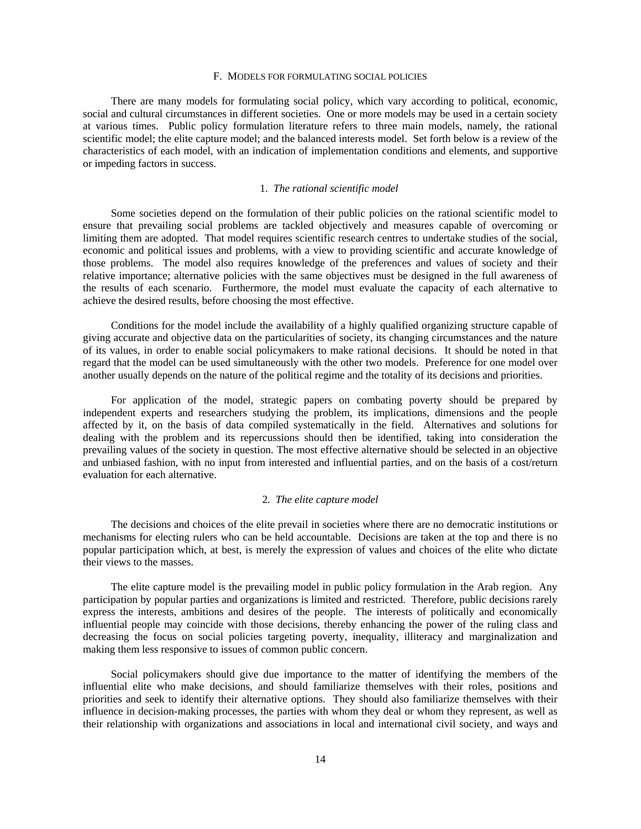### F. MODELS FOR FORMULATING SOCIAL POLICIES

 There are many models for formulating social policy, which vary according to political, economic, social and cultural circumstances in different societies. One or more models may be used in a certain society at various times. Public policy formulation literature refers to three main models, namely, the rational scientific model; the elite capture model; and the balanced interests model. Set forth below is a review of the characteristics of each model, with an indication of implementation conditions and elements, and supportive or impeding factors in success.

### 1. *The rational scientific model*

 Some societies depend on the formulation of their public policies on the rational scientific model to ensure that prevailing social problems are tackled objectively and measures capable of overcoming or limiting them are adopted. That model requires scientific research centres to undertake studies of the social, economic and political issues and problems, with a view to providing scientific and accurate knowledge of those problems. The model also requires knowledge of the preferences and values of society and their relative importance; alternative policies with the same objectives must be designed in the full awareness of the results of each scenario. Furthermore, the model must evaluate the capacity of each alternative to achieve the desired results, before choosing the most effective.

 Conditions for the model include the availability of a highly qualified organizing structure capable of giving accurate and objective data on the particularities of society, its changing circumstances and the nature of its values, in order to enable social policymakers to make rational decisions. It should be noted in that regard that the model can be used simultaneously with the other two models. Preference for one model over another usually depends on the nature of the political regime and the totality of its decisions and priorities.

 For application of the model, strategic papers on combating poverty should be prepared by independent experts and researchers studying the problem, its implications, dimensions and the people affected by it, on the basis of data compiled systematically in the field. Alternatives and solutions for dealing with the problem and its repercussions should then be identified, taking into consideration the prevailing values of the society in question. The most effective alternative should be selected in an objective and unbiased fashion, with no input from interested and influential parties, and on the basis of a cost/return evaluation for each alternative.

### 2. *The elite capture model*

 The decisions and choices of the elite prevail in societies where there are no democratic institutions or mechanisms for electing rulers who can be held accountable. Decisions are taken at the top and there is no popular participation which, at best, is merely the expression of values and choices of the elite who dictate their views to the masses.

 The elite capture model is the prevailing model in public policy formulation in the Arab region. Any participation by popular parties and organizations is limited and restricted. Therefore, public decisions rarely express the interests, ambitions and desires of the people. The interests of politically and economically influential people may coincide with those decisions, thereby enhancing the power of the ruling class and decreasing the focus on social policies targeting poverty, inequality, illiteracy and marginalization and making them less responsive to issues of common public concern.

 Social policymakers should give due importance to the matter of identifying the members of the influential elite who make decisions, and should familiarize themselves with their roles, positions and priorities and seek to identify their alternative options. They should also familiarize themselves with their influence in decision-making processes, the parties with whom they deal or whom they represent, as well as their relationship with organizations and associations in local and international civil society, and ways and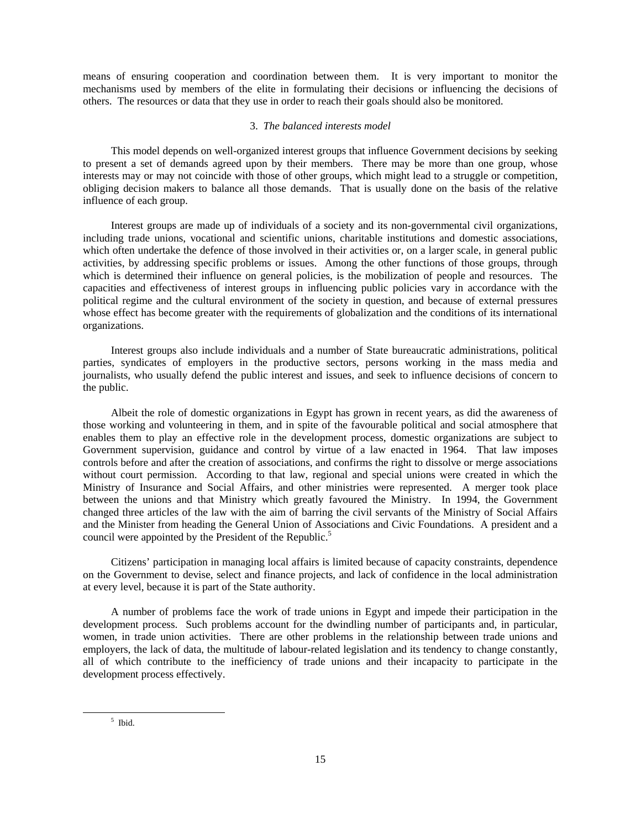means of ensuring cooperation and coordination between them. It is very important to monitor the mechanisms used by members of the elite in formulating their decisions or influencing the decisions of others. The resources or data that they use in order to reach their goals should also be monitored.

# 3. *The balanced interests model*

 This model depends on well-organized interest groups that influence Government decisions by seeking to present a set of demands agreed upon by their members. There may be more than one group, whose interests may or may not coincide with those of other groups, which might lead to a struggle or competition, obliging decision makers to balance all those demands. That is usually done on the basis of the relative influence of each group.

 Interest groups are made up of individuals of a society and its non-governmental civil organizations, including trade unions, vocational and scientific unions, charitable institutions and domestic associations, which often undertake the defence of those involved in their activities or, on a larger scale, in general public activities, by addressing specific problems or issues. Among the other functions of those groups, through which is determined their influence on general policies, is the mobilization of people and resources. The capacities and effectiveness of interest groups in influencing public policies vary in accordance with the political regime and the cultural environment of the society in question, and because of external pressures whose effect has become greater with the requirements of globalization and the conditions of its international organizations.

 Interest groups also include individuals and a number of State bureaucratic administrations, political parties, syndicates of employers in the productive sectors, persons working in the mass media and journalists, who usually defend the public interest and issues, and seek to influence decisions of concern to the public.

 Albeit the role of domestic organizations in Egypt has grown in recent years, as did the awareness of those working and volunteering in them, and in spite of the favourable political and social atmosphere that enables them to play an effective role in the development process, domestic organizations are subject to Government supervision, guidance and control by virtue of a law enacted in 1964. That law imposes controls before and after the creation of associations, and confirms the right to dissolve or merge associations without court permission. According to that law, regional and special unions were created in which the Ministry of Insurance and Social Affairs, and other ministries were represented. A merger took place between the unions and that Ministry which greatly favoured the Ministry. In 1994, the Government changed three articles of the law with the aim of barring the civil servants of the Ministry of Social Affairs and the Minister from heading the General Union of Associations and Civic Foundations. A president and a council were appointed by the President of the Republic.<sup>5</sup>

 Citizens' participation in managing local affairs is limited because of capacity constraints, dependence on the Government to devise, select and finance projects, and lack of confidence in the local administration at every level, because it is part of the State authority.

 A number of problems face the work of trade unions in Egypt and impede their participation in the development process. Such problems account for the dwindling number of participants and, in particular, women, in trade union activities. There are other problems in the relationship between trade unions and employers, the lack of data, the multitude of labour-related legislation and its tendency to change constantly, all of which contribute to the inefficiency of trade unions and their incapacity to participate in the development process effectively.

 $rac{1}{5}$  $<sup>5</sup>$  Ibid.</sup>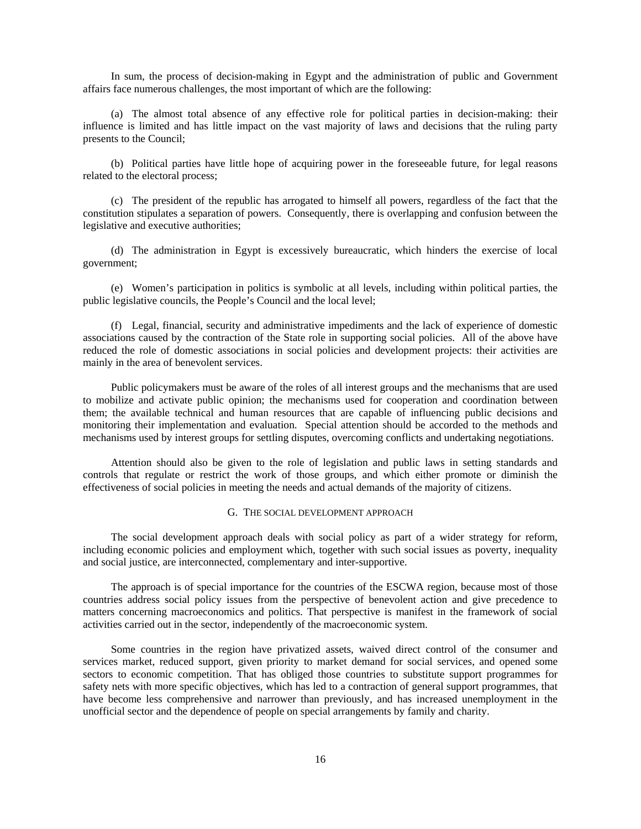In sum, the process of decision-making in Egypt and the administration of public and Government affairs face numerous challenges, the most important of which are the following:

 (a) The almost total absence of any effective role for political parties in decision-making: their influence is limited and has little impact on the vast majority of laws and decisions that the ruling party presents to the Council;

 (b) Political parties have little hope of acquiring power in the foreseeable future, for legal reasons related to the electoral process;

 (c) The president of the republic has arrogated to himself all powers, regardless of the fact that the constitution stipulates a separation of powers. Consequently, there is overlapping and confusion between the legislative and executive authorities;

 (d) The administration in Egypt is excessively bureaucratic, which hinders the exercise of local government;

 (e) Women's participation in politics is symbolic at all levels, including within political parties, the public legislative councils, the People's Council and the local level;

 (f) Legal, financial, security and administrative impediments and the lack of experience of domestic associations caused by the contraction of the State role in supporting social policies. All of the above have reduced the role of domestic associations in social policies and development projects: their activities are mainly in the area of benevolent services.

 Public policymakers must be aware of the roles of all interest groups and the mechanisms that are used to mobilize and activate public opinion; the mechanisms used for cooperation and coordination between them; the available technical and human resources that are capable of influencing public decisions and monitoring their implementation and evaluation. Special attention should be accorded to the methods and mechanisms used by interest groups for settling disputes, overcoming conflicts and undertaking negotiations.

 Attention should also be given to the role of legislation and public laws in setting standards and controls that regulate or restrict the work of those groups, and which either promote or diminish the effectiveness of social policies in meeting the needs and actual demands of the majority of citizens.

# G. THE SOCIAL DEVELOPMENT APPROACH

 The social development approach deals with social policy as part of a wider strategy for reform, including economic policies and employment which, together with such social issues as poverty, inequality and social justice, are interconnected, complementary and inter-supportive.

 The approach is of special importance for the countries of the ESCWA region, because most of those countries address social policy issues from the perspective of benevolent action and give precedence to matters concerning macroeconomics and politics. That perspective is manifest in the framework of social activities carried out in the sector, independently of the macroeconomic system.

 Some countries in the region have privatized assets, waived direct control of the consumer and services market, reduced support, given priority to market demand for social services, and opened some sectors to economic competition. That has obliged those countries to substitute support programmes for safety nets with more specific objectives, which has led to a contraction of general support programmes, that have become less comprehensive and narrower than previously, and has increased unemployment in the unofficial sector and the dependence of people on special arrangements by family and charity.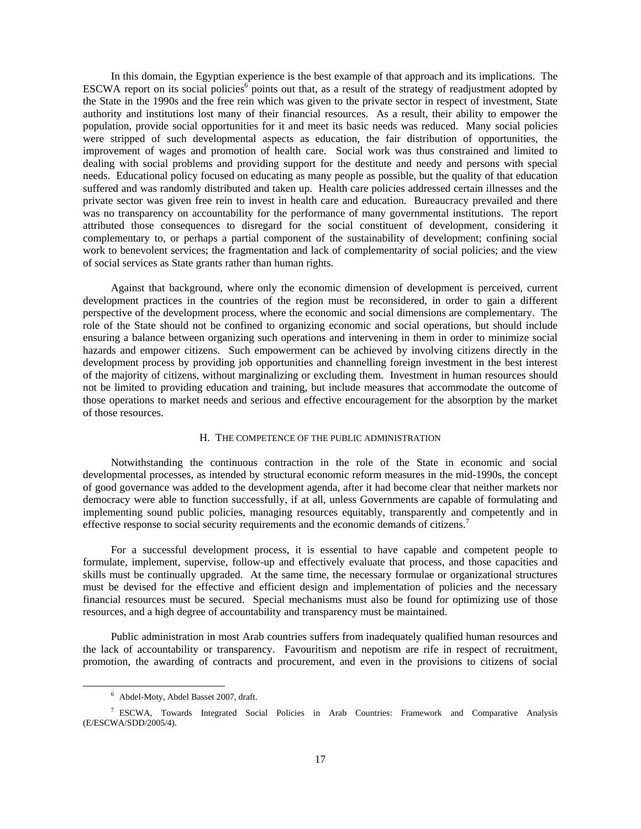In this domain, the Egyptian experience is the best example of that approach and its implications. The ESCWA report on its social policies<sup>6</sup> points out that, as a result of the strategy of readjustment adopted by the State in the 1990s and the free rein which was given to the private sector in respect of investment, State authority and institutions lost many of their financial resources. As a result, their ability to empower the population, provide social opportunities for it and meet its basic needs was reduced. Many social policies were stripped of such developmental aspects as education, the fair distribution of opportunities, the improvement of wages and promotion of health care. Social work was thus constrained and limited to dealing with social problems and providing support for the destitute and needy and persons with special needs. Educational policy focused on educating as many people as possible, but the quality of that education suffered and was randomly distributed and taken up. Health care policies addressed certain illnesses and the private sector was given free rein to invest in health care and education. Bureaucracy prevailed and there was no transparency on accountability for the performance of many governmental institutions. The report attributed those consequences to disregard for the social constituent of development, considering it complementary to, or perhaps a partial component of the sustainability of development; confining social work to benevolent services; the fragmentation and lack of complementarity of social policies; and the view of social services as State grants rather than human rights.

 Against that background, where only the economic dimension of development is perceived, current development practices in the countries of the region must be reconsidered, in order to gain a different perspective of the development process, where the economic and social dimensions are complementary. The role of the State should not be confined to organizing economic and social operations, but should include ensuring a balance between organizing such operations and intervening in them in order to minimize social hazards and empower citizens. Such empowerment can be achieved by involving citizens directly in the development process by providing job opportunities and channelling foreign investment in the best interest of the majority of citizens, without marginalizing or excluding them. Investment in human resources should not be limited to providing education and training, but include measures that accommodate the outcome of those operations to market needs and serious and effective encouragement for the absorption by the market of those resources.

# H. THE COMPETENCE OF THE PUBLIC ADMINISTRATION

 Notwithstanding the continuous contraction in the role of the State in economic and social developmental processes, as intended by structural economic reform measures in the mid-1990s, the concept of good governance was added to the development agenda, after it had become clear that neither markets nor democracy were able to function successfully, if at all, unless Governments are capable of formulating and implementing sound public policies, managing resources equitably, transparently and competently and in effective response to social security requirements and the economic demands of citizens.<sup>7</sup>

 For a successful development process, it is essential to have capable and competent people to formulate, implement, supervise, follow-up and effectively evaluate that process, and those capacities and skills must be continually upgraded. At the same time, the necessary formulae or organizational structures must be devised for the effective and efficient design and implementation of policies and the necessary financial resources must be secured. Special mechanisms must also be found for optimizing use of those resources, and a high degree of accountability and transparency must be maintained.

 Public administration in most Arab countries suffers from inadequately qualified human resources and the lack of accountability or transparency. Favouritism and nepotism are rife in respect of recruitment, promotion, the awarding of contracts and procurement, and even in the provisions to citizens of social

 <sup>6</sup> Abdel-Moty, Abdel Basset 2007, draft.

<sup>&</sup>lt;sup>7</sup> ESCWA, Towards Integrated Social Policies in Arab Countries: Framework and Comparative Analysis (E/ESCWA/SDD/2005/4).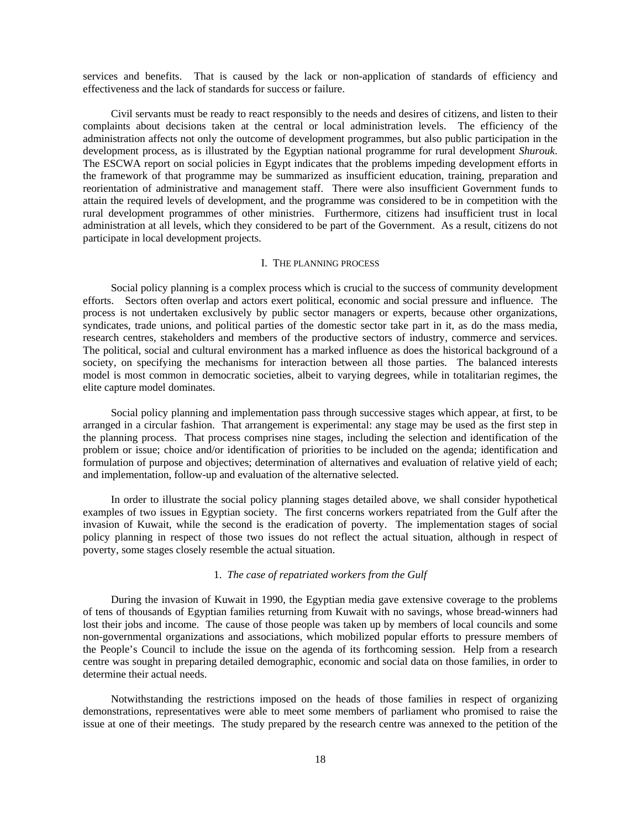services and benefits. That is caused by the lack or non-application of standards of efficiency and effectiveness and the lack of standards for success or failure.

 Civil servants must be ready to react responsibly to the needs and desires of citizens, and listen to their complaints about decisions taken at the central or local administration levels. The efficiency of the administration affects not only the outcome of development programmes, but also public participation in the development process, as is illustrated by the Egyptian national programme for rural development *Shurouk*. The ESCWA report on social policies in Egypt indicates that the problems impeding development efforts in the framework of that programme may be summarized as insufficient education, training, preparation and reorientation of administrative and management staff. There were also insufficient Government funds to attain the required levels of development, and the programme was considered to be in competition with the rural development programmes of other ministries. Furthermore, citizens had insufficient trust in local administration at all levels, which they considered to be part of the Government. As a result, citizens do not participate in local development projects.

### I. THE PLANNING PROCESS

 Social policy planning is a complex process which is crucial to the success of community development efforts. Sectors often overlap and actors exert political, economic and social pressure and influence. The process is not undertaken exclusively by public sector managers or experts, because other organizations, syndicates, trade unions, and political parties of the domestic sector take part in it, as do the mass media, research centres, stakeholders and members of the productive sectors of industry, commerce and services. The political, social and cultural environment has a marked influence as does the historical background of a society, on specifying the mechanisms for interaction between all those parties. The balanced interests model is most common in democratic societies, albeit to varying degrees, while in totalitarian regimes, the elite capture model dominates.

 Social policy planning and implementation pass through successive stages which appear, at first, to be arranged in a circular fashion. That arrangement is experimental: any stage may be used as the first step in the planning process. That process comprises nine stages, including the selection and identification of the problem or issue; choice and/or identification of priorities to be included on the agenda; identification and formulation of purpose and objectives; determination of alternatives and evaluation of relative yield of each; and implementation, follow-up and evaluation of the alternative selected.

 In order to illustrate the social policy planning stages detailed above, we shall consider hypothetical examples of two issues in Egyptian society. The first concerns workers repatriated from the Gulf after the invasion of Kuwait, while the second is the eradication of poverty. The implementation stages of social policy planning in respect of those two issues do not reflect the actual situation, although in respect of poverty, some stages closely resemble the actual situation.

### 1. *The case of repatriated workers from the Gulf*

 During the invasion of Kuwait in 1990, the Egyptian media gave extensive coverage to the problems of tens of thousands of Egyptian families returning from Kuwait with no savings, whose bread-winners had lost their jobs and income. The cause of those people was taken up by members of local councils and some non-governmental organizations and associations, which mobilized popular efforts to pressure members of the People's Council to include the issue on the agenda of its forthcoming session. Help from a research centre was sought in preparing detailed demographic, economic and social data on those families, in order to determine their actual needs.

 Notwithstanding the restrictions imposed on the heads of those families in respect of organizing demonstrations, representatives were able to meet some members of parliament who promised to raise the issue at one of their meetings. The study prepared by the research centre was annexed to the petition of the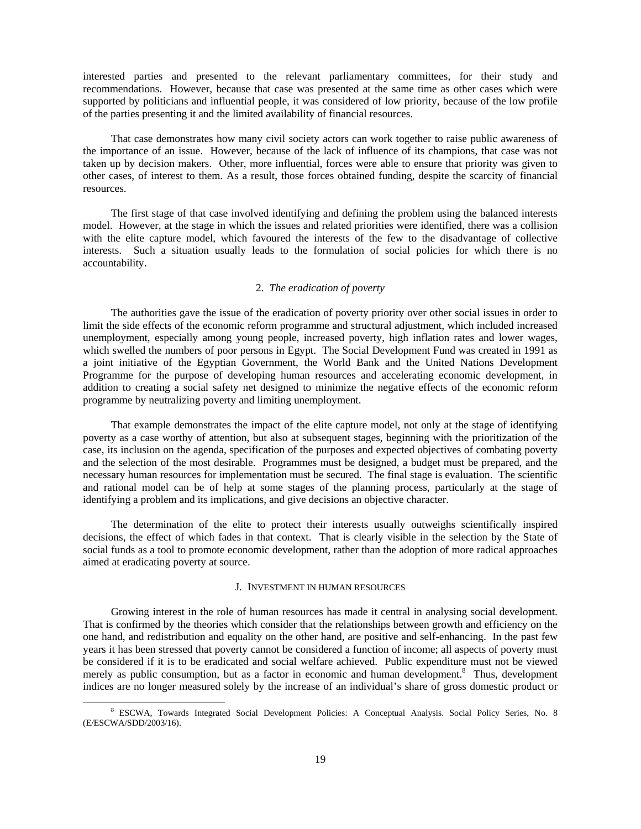interested parties and presented to the relevant parliamentary committees, for their study and recommendations. However, because that case was presented at the same time as other cases which were supported by politicians and influential people, it was considered of low priority, because of the low profile of the parties presenting it and the limited availability of financial resources.

 That case demonstrates how many civil society actors can work together to raise public awareness of the importance of an issue. However, because of the lack of influence of its champions, that case was not taken up by decision makers. Other, more influential, forces were able to ensure that priority was given to other cases, of interest to them. As a result, those forces obtained funding, despite the scarcity of financial resources.

 The first stage of that case involved identifying and defining the problem using the balanced interests model. However, at the stage in which the issues and related priorities were identified, there was a collision with the elite capture model, which favoured the interests of the few to the disadvantage of collective interests. Such a situation usually leads to the formulation of social policies for which there is no accountability.

# 2. *The eradication of poverty*

 The authorities gave the issue of the eradication of poverty priority over other social issues in order to limit the side effects of the economic reform programme and structural adjustment, which included increased unemployment, especially among young people, increased poverty, high inflation rates and lower wages, which swelled the numbers of poor persons in Egypt. The Social Development Fund was created in 1991 as a joint initiative of the Egyptian Government, the World Bank and the United Nations Development Programme for the purpose of developing human resources and accelerating economic development, in addition to creating a social safety net designed to minimize the negative effects of the economic reform programme by neutralizing poverty and limiting unemployment.

 That example demonstrates the impact of the elite capture model, not only at the stage of identifying poverty as a case worthy of attention, but also at subsequent stages, beginning with the prioritization of the case, its inclusion on the agenda, specification of the purposes and expected objectives of combating poverty and the selection of the most desirable. Programmes must be designed, a budget must be prepared, and the necessary human resources for implementation must be secured. The final stage is evaluation. The scientific and rational model can be of help at some stages of the planning process, particularly at the stage of identifying a problem and its implications, and give decisions an objective character.

 The determination of the elite to protect their interests usually outweighs scientifically inspired decisions, the effect of which fades in that context. That is clearly visible in the selection by the State of social funds as a tool to promote economic development, rather than the adoption of more radical approaches aimed at eradicating poverty at source.

### J. INVESTMENT IN HUMAN RESOURCES

 Growing interest in the role of human resources has made it central in analysing social development. That is confirmed by the theories which consider that the relationships between growth and efficiency on the one hand, and redistribution and equality on the other hand, are positive and self-enhancing. In the past few years it has been stressed that poverty cannot be considered a function of income; all aspects of poverty must be considered if it is to be eradicated and social welfare achieved. Public expenditure must not be viewed merely as public consumption, but as a factor in economic and human development.<sup>8</sup> Thus, development indices are no longer measured solely by the increase of an individual's share of gross domestic product or

 $\frac{1}{8}$  ESCWA, Towards Integrated Social Development Policies: A Conceptual Analysis. Social Policy Series, No. 8 (E/ESCWA/SDD/2003/16).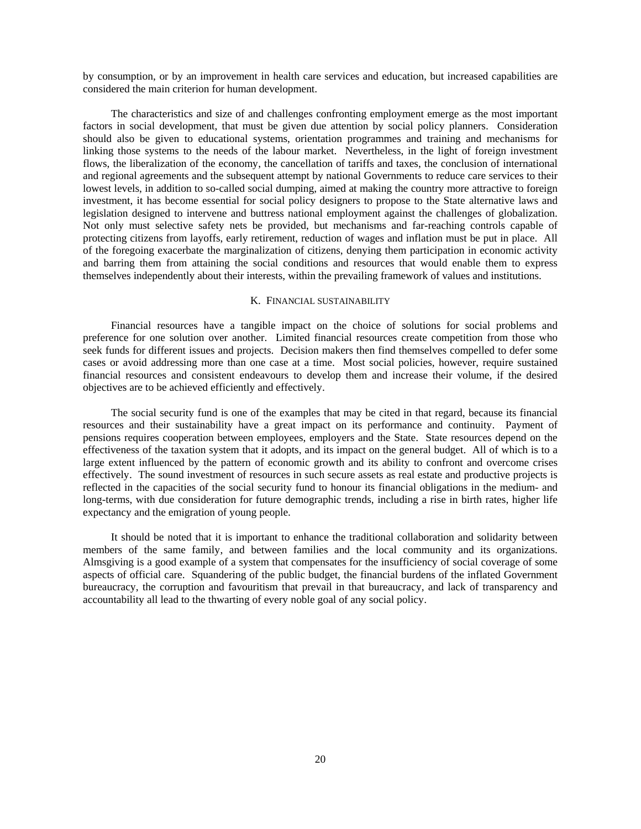by consumption, or by an improvement in health care services and education, but increased capabilities are considered the main criterion for human development.

 The characteristics and size of and challenges confronting employment emerge as the most important factors in social development, that must be given due attention by social policy planners. Consideration should also be given to educational systems, orientation programmes and training and mechanisms for linking those systems to the needs of the labour market. Nevertheless, in the light of foreign investment flows, the liberalization of the economy, the cancellation of tariffs and taxes, the conclusion of international and regional agreements and the subsequent attempt by national Governments to reduce care services to their lowest levels, in addition to so-called social dumping, aimed at making the country more attractive to foreign investment, it has become essential for social policy designers to propose to the State alternative laws and legislation designed to intervene and buttress national employment against the challenges of globalization. Not only must selective safety nets be provided, but mechanisms and far-reaching controls capable of protecting citizens from layoffs, early retirement, reduction of wages and inflation must be put in place. All of the foregoing exacerbate the marginalization of citizens, denying them participation in economic activity and barring them from attaining the social conditions and resources that would enable them to express themselves independently about their interests, within the prevailing framework of values and institutions.

#### K. FINANCIAL SUSTAINABILITY

 Financial resources have a tangible impact on the choice of solutions for social problems and preference for one solution over another. Limited financial resources create competition from those who seek funds for different issues and projects. Decision makers then find themselves compelled to defer some cases or avoid addressing more than one case at a time. Most social policies, however, require sustained financial resources and consistent endeavours to develop them and increase their volume, if the desired objectives are to be achieved efficiently and effectively.

 The social security fund is one of the examples that may be cited in that regard, because its financial resources and their sustainability have a great impact on its performance and continuity. Payment of pensions requires cooperation between employees, employers and the State. State resources depend on the effectiveness of the taxation system that it adopts, and its impact on the general budget. All of which is to a large extent influenced by the pattern of economic growth and its ability to confront and overcome crises effectively. The sound investment of resources in such secure assets as real estate and productive projects is reflected in the capacities of the social security fund to honour its financial obligations in the medium- and long-terms, with due consideration for future demographic trends, including a rise in birth rates, higher life expectancy and the emigration of young people.

 It should be noted that it is important to enhance the traditional collaboration and solidarity between members of the same family, and between families and the local community and its organizations. Almsgiving is a good example of a system that compensates for the insufficiency of social coverage of some aspects of official care. Squandering of the public budget, the financial burdens of the inflated Government bureaucracy, the corruption and favouritism that prevail in that bureaucracy, and lack of transparency and accountability all lead to the thwarting of every noble goal of any social policy.